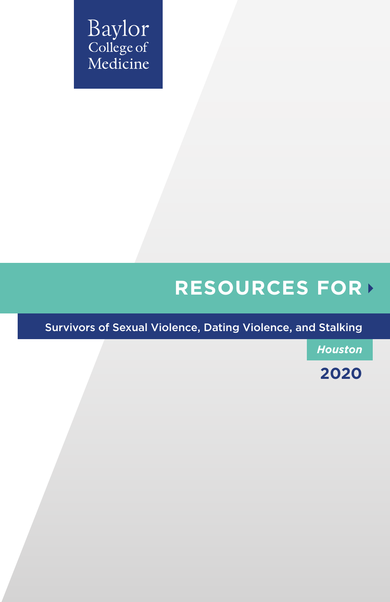Baylor<br>College of Medicine

# **RESOURCES FOR**

Survivors of Sexual Violence, Dating Violence, and Stalking

*Houston*

**2020**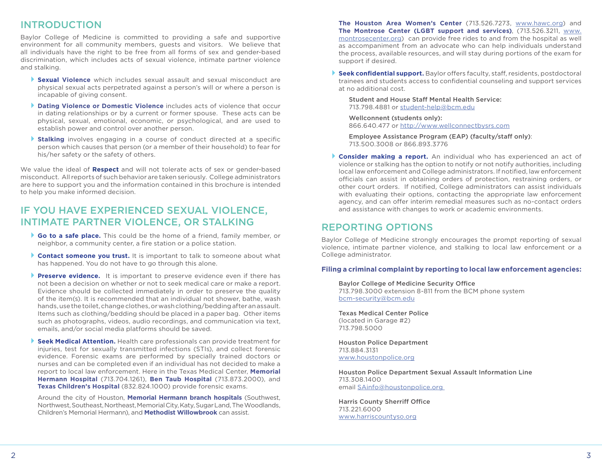# INTRODUCTION

Baylor College of Medicine is committed to providing a safe and supportive environment for all community members, guests and visitors. We believe that all individuals have the right to be free from all forms of sex and gender-based discrimination, which includes acts of sexual violence, intimate partner violence and stalking.

- ` **Sexual Violence** which includes sexual assault and sexual misconduct are physical sexual acts perpetrated against a person's will or where a person is incapable of giving consent.
- ` **Dating Violence or Domestic Violence** includes acts of violence that occur in dating relationships or by a current or former spouse. These acts can be physical, sexual, emotional, economic, or psychological, and are used to establish power and control over another person.
- ` **Stalking** involves engaging in a course of conduct directed at a specific person which causes that person (or a member of their household) to fear for his/her safety or the safety of others.

We value the ideal of **Respect** and will not tolerate acts of sex or gender-based misconduct. All reports of such behavior are taken seriously. College administrators are here to support you and the information contained in this brochure is intended to help you make informed decision.

# IF YOU HAVE EXPERIENCED SEXUAL VIOLENCE, INTIMATE PARTNER VIOLENCE, OR STALKING

- ` **Go to a safe place.** This could be the home of a friend, family member, or neighbor, a community center, a fire station or a police station.
- **Contact someone you trust.** It is important to talk to someone about what has happened. You do not have to go through this alone.
- **Preserve evidence.** It is important to preserve evidence even if there has not been a decision on whether or not to seek medical care or make a report. Evidence should be collected immediately in order to preserve the quality of the item(s). It is recommended that an individual not shower, bathe, wash hands, use the toilet, change clothes, or wash clothing/bedding after an assault. Items such as clothing/bedding should be placed in a paper bag. Other items such as photographs, videos, audio recordings, and communication via text, emails, and/or social media platforms should be saved.
- **Seek Medical Attention.** Health care professionals can provide treatment for injuries, test for sexually transmitted infections (STIs), and collect forensic evidence. Forensic exams are performed by specially trained doctors or nurses and can be completed even if an individual has not decided to make a report to local law enforcement. Here in the Texas Medical Center, **Memorial Hermann Hospital** (713.704.1261), **Ben Taub Hospital** (713.873.2000), and **Texas Children's Hospital** (832.824.1000) provide forensic exams.

Around the city of Houston, **Memorial Hermann branch hospitals** (Southwest, Northwest, Southeast, Northeast, Memorial City, Katy, Sugar Land, The Woodlands, Children's Memorial Hermann), and **Methodist Willowbrook** can assist.

**The Houston Area Women's Center** (713.526.7273, www.hawc.org) and **The Montrose Center (LGBT support and services)**, (713.526.3211, www. montrosecenter.org) can provide free rides to and from the hospital as well as accompaniment from an advocate who can help individuals understand the process, available resources, and will stay during portions of the exam for support if desired.

` **Seek confidential support.** Baylor offers faculty, staff, residents, postdoctoral trainees and students access to confidential counseling and support services at no additional cost.

Student and House Staff Mental Health Service: 713.798.4881 or student-help@bcm.edu

Wellconnent (students only): 866.640.477 or http://www.wellconnectbysrs.com

Employee Assistance Program (EAP) (faculty/staff only): 713.500.3008 or 866.893.3776

` **Consider making a report.** An individual who has experienced an act of violence or stalking has the option to notify or not notify authorities, including local law enforcement and College administrators. If notified, law enforcement officials can assist in obtaining orders of protection, restraining orders, or other court orders. If notified, College administrators can assist individuals with evaluating their options, contacting the appropriate law enforcement agency, and can offer interim remedial measures such as no-contact orders and assistance with changes to work or academic environments.

# REPORTING OPTIONS

Baylor College of Medicine strongly encourages the prompt reporting of sexual violence, intimate partner violence, and stalking to local law enforcement or a College administrator.

# **Filing a criminal complaint by reporting to local law enforcement agencies:**

Baylor College of Medicine Security Office 713.798.3000 extension 8-811 from the BCM phone system bcm-security@bcm.edu

Texas Medical Center Police (located in Garage #2) 713.798.5000

Houston Police Department 713.884.3131 www.houstonpolice.org

Houston Police Department Sexual Assault Information Line 713.308.1400 email SAinfo@houstonpolice.org

Harris County Sherriff Office 713.221.6000 www.harriscountyso.org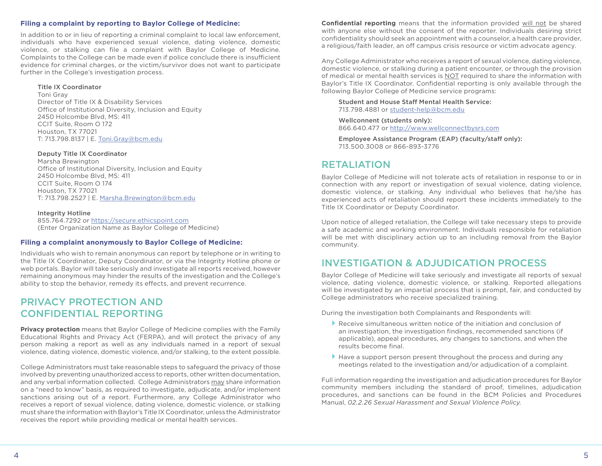# **Filing a complaint by reporting to Baylor College of Medicine:**

In addition to or in lieu of reporting a criminal complaint to local law enforcement, individuals who have experienced sexual violence, dating violence, domestic violence, or stalking can file a complaint with Baylor College of Medicine. Complaints to the College can be made even if police conclude there is insufficient evidence for criminal charges, or the victim/survivor does not want to participate further in the College's investigation process.

### Title IX Coordinator

Toni Gray Director of Title IX & Disability Services Office of Institutional Diversity, Inclusion and Equity 2450 Holcombe Blvd, MS: 411 CCIT Suite, Room O 172 Houston, TX 77021 T: 713.798.8137 | E. Toni.Gray@bcm.edu

#### Deputy Title IX Coordinator

Marsha Brewington Office of Institutional Diversity, Inclusion and Equity 2450 Holcombe Blvd, MS: 411 CCIT Suite, Room O 174 Houston, TX 77021 T: 713.798.2527 | E. Marsha.Brewington@bcm.edu

Integrity Hotline 855.764.7292 or https://secure.ethicspoint.com (Enter Organization Name as Baylor College of Medicine)

### **Filing a complaint anonymously to Baylor College of Medicine:**

Individuals who wish to remain anonymous can report by telephone or in writing to the Title IX Coordinator, Deputy Coordinator, or via the Integrity Hotline phone or web portals. Baylor will take seriously and investigate all reports received, however remaining anonymous may hinder the results of the investigation and the College's ability to stop the behavior, remedy its effects, and prevent recurrence.

# PRIVACY PROTECTION AND CONFIDENTIAL REPORTING

**Privacy protection** means that Baylor College of Medicine complies with the Family Educational Rights and Privacy Act (FERPA), and will protect the privacy of any person making a report as well as any individuals named in a report of sexual violence, dating violence, domestic violence, and/or stalking, to the extent possible.

College Administrators must take reasonable steps to safeguard the privacy of those involved by preventing unauthorized access to reports, other written documentation, and any verbal information collected. College Administrators may share information on a "need to know" basis, as required to investigate, adjudicate, and/or implement sanctions arising out of a report. Furthermore, any College Administrator who receives a report of sexual violence, dating violence, domestic violence, or stalking must share the information with Baylor's Title IX Coordinator, unless the Administrator receives the report while providing medical or mental health services.

**Confidential reporting** means that the information provided will not be shared with anyone else without the consent of the reporter. Individuals desiring strict confidentiality should seek an appointment with a counselor, a health care provider, a religious/faith leader, an off campus crisis resource or victim advocate agency.

Any College Administrator who receives a report of sexual violence, dating violence, domestic violence, or stalking during a patient encounter, or through the provision of medical or mental health services is NOT required to share the information with Baylor's Title IX Coordinator. Confidential reporting is only available through the following Baylor College of Medicine service programs:

# Student and House Staff Mental Health Service: 713.798.4881 or student-help@bcm.edu

Wellconnent (students only): 866.640.477 or http://www.wellconnectbysrs.com

Employee Assistance Program (EAP) (faculty/staff only): 713.500.3008 or 866-893-3776

# RETALIATION

Baylor College of Medicine will not tolerate acts of retaliation in response to or in connection with any report or investigation of sexual violence, dating violence, domestic violence, or stalking. Any individual who believes that he/she has experienced acts of retaliation should report these incidents immediately to the Title IX Coordinator or Deputy Coordinator.

Upon notice of alleged retaliation, the College will take necessary steps to provide a safe academic and working environment. Individuals responsible for retaliation will be met with disciplinary action up to an including removal from the Baylor community.

# INVESTIGATION & ADJUDICATION PROCESS

Baylor College of Medicine will take seriously and investigate all reports of sexual violence, dating violence, domestic violence, or stalking. Reported allegations will be investigated by an impartial process that is prompt, fair, and conducted by College administrators who receive specialized training.

During the investigation both Complainants and Respondents will:

- $\blacktriangleright$  Receive simultaneous written notice of the initiation and conclusion of an investigation, the investigation findings, recommended sanctions (if applicable), appeal procedures, any changes to sanctions, and when the results become final.
- $\blacktriangleright$  Have a support person present throughout the process and during any meetings related to the investigation and/or adjudication of a complaint.

Full information regarding the investigation and adjudication procedures for Baylor community members including the standard of proof, timelines, adjudication procedures, and sanctions can be found in the BCM Policies and Procedures Manual, *02.2.26 Sexual Harassment and Sexual Violence Policy.*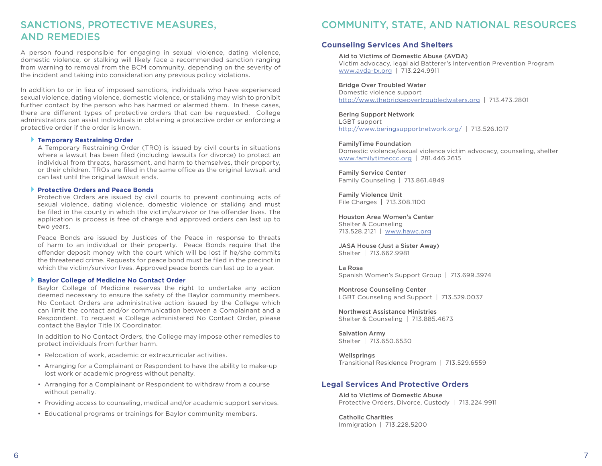# SANCTIONS, PROTECTIVE MEASURES, AND REMEDIES

A person found responsible for engaging in sexual violence, dating violence, domestic violence, or stalking will likely face a recommended sanction ranging from warning to removal from the BCM community, depending on the severity of the incident and taking into consideration any previous policy violations.

In addition to or in lieu of imposed sanctions, individuals who have experienced sexual violence, dating violence, domestic violence, or stalking may wish to prohibit further contact by the person who has harmed or alarmed them. In these cases, there are different types of protective orders that can be requested. College administrators can assist individuals in obtaining a protective order or enforcing a protective order if the order is known.

#### ` **Temporary Restraining Order**

A Temporary Restraining Order (TRO) is issued by civil courts in situations where a lawsuit has been filed (including lawsuits for divorce) to protect an individual from threats, harassment, and harm to themselves, their property, or their children. TROs are filed in the same office as the original lawsuit and can last until the original lawsuit ends.

# ` **Protective Orders and Peace Bonds**

Protective Orders are issued by civil courts to prevent continuing acts of sexual violence, dating violence, domestic violence or stalking and must be filed in the county in which the victim/survivor or the offender lives. The application is process is free of charge and approved orders can last up to two years.

Peace Bonds are issued by Justices of the Peace in response to threats of harm to an individual or their property. Peace Bonds require that the offender deposit money with the court which will be lost if he/she commits the threatened crime. Requests for peace bond must be filed in the precinct in which the victim/survivor lives. Approved peace bonds can last up to a year.

### ` **Baylor College of Medicine No Contact Order**

Baylor College of Medicine reserves the right to undertake any action deemed necessary to ensure the safety of the Baylor community members. No Contact Orders are administrative action issued by the College which can limit the contact and/or communication between a Complainant and a Respondent. To request a College administered No Contact Order, please contact the Baylor Title IX Coordinator.

In addition to No Contact Orders, the College may impose other remedies to protect individuals from further harm.

- Relocation of work, academic or extracurricular activities.
- Arranging for a Complainant or Respondent to have the ability to make-up lost work or academic progress without penalty.
- Arranging for a Complainant or Respondent to withdraw from a course without penalty.
- Providing access to counseling, medical and/or academic support services.
- Educational programs or trainings for Baylor community members.

# COMMUNITY, STATE, AND NATIONAL RESOURCES

# **Counseling Services And Shelters**

# Aid to Victims of Domestic Abuse (AVDA)

Victim advocacy, legal aid Batterer's Intervention Prevention Program www.avda-tx.org | 713.224.9911

# Bridge Over Troubled Water

Domestic violence support http://www.thebridgeovertroubledwaters.org | 713.473.2801

# Bering Support Network

LGBT support http://www.beringsupportnetwork.org/ | 713.526.1017

# FamilyTime Foundation

Domestic violence/sexual violence victim advocacy, counseling, shelter www.familytimeccc.org | 281.446.2615

Family Service Center Family Counseling | 713.861.4849

Family Violence Unit File Charges | 713.308.1100

# Houston Area Women's Center

Shelter & Counseling 713.528.2121 | www.hawc.org

JASA House (Just a Sister Away) Shelter | 713.662.9981

La Rosa Spanish Women's Support Group | 713.699.3974

Montrose Counseling Center LGBT Counseling and Support | 713.529.0037

Northwest Assistance Ministries Shelter & Counseling | 713.885.4673

Salvation Army Shelter | 713.650.6530

**Wellsprings** Transitional Residence Program | 713.529.6559

# **Legal Services And Protective Orders**

Aid to Victims of Domestic Abuse Protective Orders, Divorce, Custody | 713.224.9911

Catholic Charities Immigration | 713.228.5200